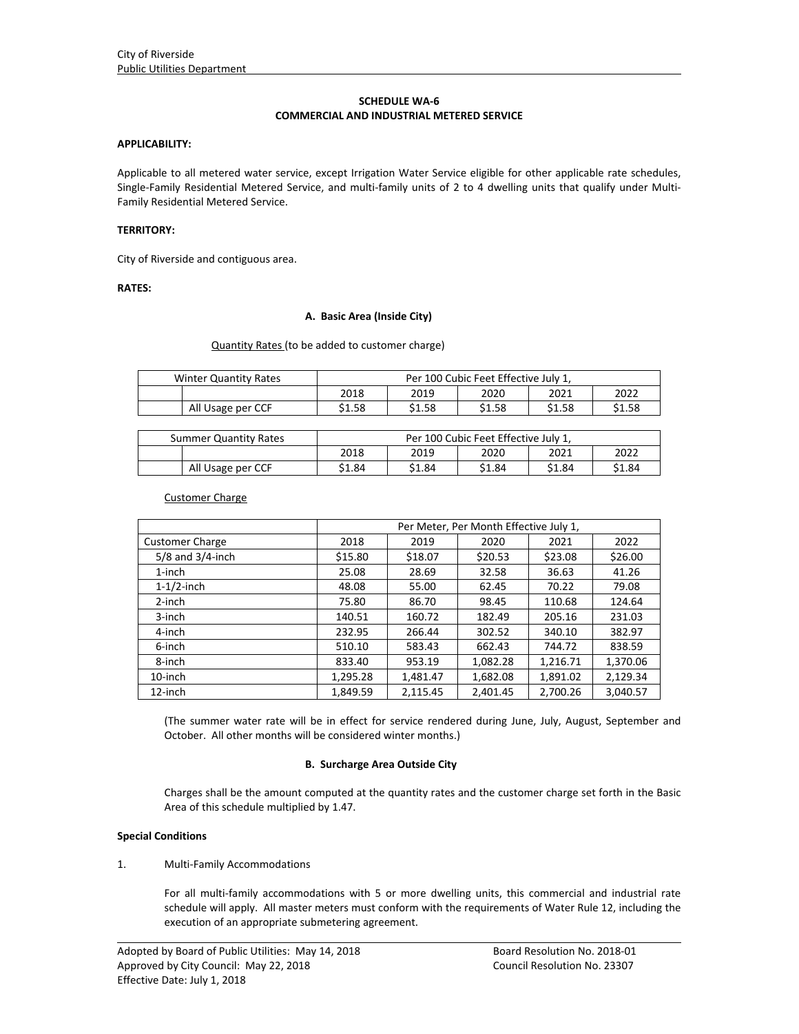### **SCHEDULE WA‐6 COMMERCIAL AND INDUSTRIAL METERED SERVICE**

#### **APPLICABILITY:**

Applicable to all metered water service, except Irrigation Water Service eligible for other applicable rate schedules, Single-Family Residential Metered Service, and multi-family units of 2 to 4 dwelling units that qualify under Multi-Family Residential Metered Service.

### **TERRITORY:**

City of Riverside and contiguous area.

# **RATES:**

### **A. Basic Area (Inside City)**

#### Quantity Rates (to be added to customer charge)

| <b>Winter Quantity Rates</b> | Per 100 Cubic Feet Effective July 1, |        |        |        |        |
|------------------------------|--------------------------------------|--------|--------|--------|--------|
|                              | 2018                                 | 2019   | 2020   | 2021   | 2022   |
| All Usage per CCF            | \$1.58                               | \$1.58 | \$1.58 | \$1.58 | \$1.58 |

| <b>Summer Quantity Rates</b> | Per 100 Cubic Feet Effective July 1, |        |        |        |        |  |
|------------------------------|--------------------------------------|--------|--------|--------|--------|--|
|                              | 2018                                 | 2019   | 2020   | 2021   | 2022   |  |
| All Usage per CCF            | \$1.84                               | \$1.84 | \$1.84 | \$1.84 | \$1.84 |  |

#### Customer Charge

|                        | Per Meter, Per Month Effective July 1, |          |          |          |          |  |
|------------------------|----------------------------------------|----------|----------|----------|----------|--|
| <b>Customer Charge</b> | 2018                                   | 2019     | 2020     | 2021     | 2022     |  |
| $5/8$ and $3/4$ -inch  | \$15.80                                | \$18.07  | \$20.53  | \$23.08  | \$26.00  |  |
| $1$ -inch              | 25.08                                  | 28.69    | 32.58    | 36.63    | 41.26    |  |
| $1-1/2$ -inch          | 48.08                                  | 55.00    | 62.45    | 70.22    | 79.08    |  |
| 2-inch                 | 75.80                                  | 86.70    | 98.45    | 110.68   | 124.64   |  |
| 3-inch                 | 140.51                                 | 160.72   | 182.49   | 205.16   | 231.03   |  |
| 4-inch                 | 232.95                                 | 266.44   | 302.52   | 340.10   | 382.97   |  |
| 6-inch                 | 510.10                                 | 583.43   | 662.43   | 744.72   | 838.59   |  |
| 8-inch                 | 833.40                                 | 953.19   | 1,082.28 | 1,216.71 | 1,370.06 |  |
| 10-inch                | 1,295.28                               | 1,481.47 | 1,682.08 | 1,891.02 | 2,129.34 |  |
| 12-inch                | 1,849.59                               | 2,115.45 | 2,401.45 | 2,700.26 | 3,040.57 |  |

(The summer water rate will be in effect for service rendered during June, July, August, September and October. All other months will be considered winter months.)

#### **B. Surcharge Area Outside City**

Charges shall be the amount computed at the quantity rates and the customer charge set forth in the Basic Area of this schedule multiplied by 1.47.

#### **Special Conditions**

#### 1. Multi-Family Accommodations

For all multi-family accommodations with 5 or more dwelling units, this commercial and industrial rate schedule will apply. All master meters must conform with the requirements of Water Rule 12, including the execution of an appropriate submetering agreement.

<u> 1989 - Johann Stoff, amerikansk politiker (d. 1989)</u>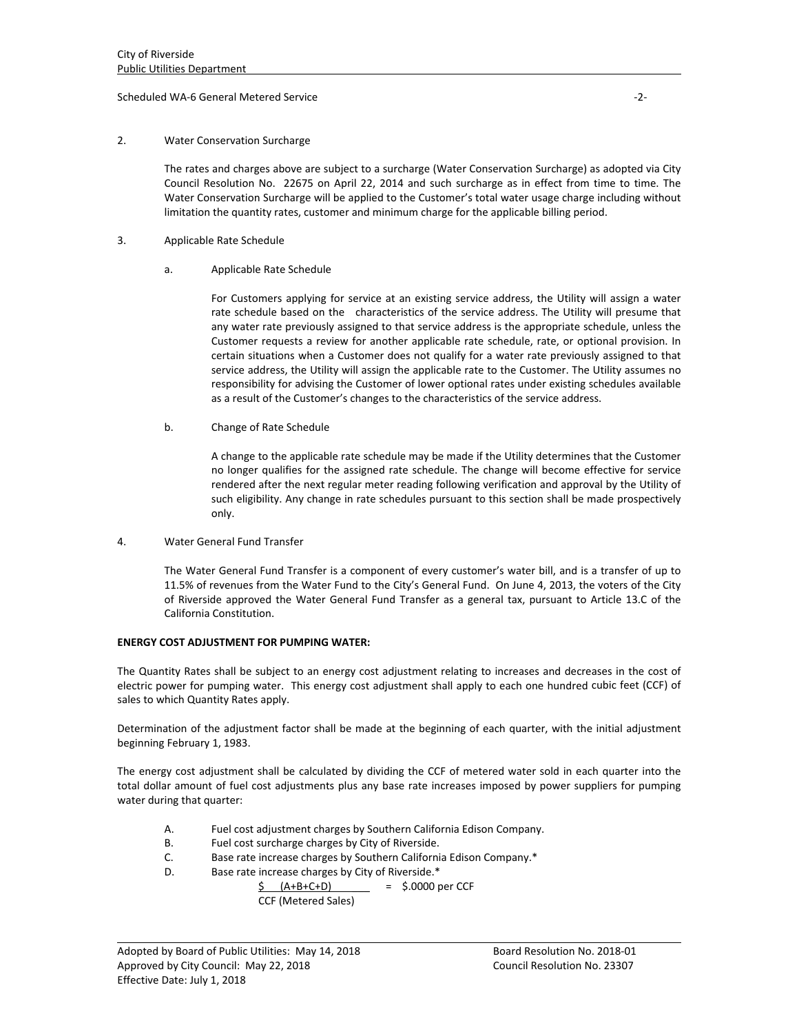### Scheduled WA‐6 General Metered Service ‐2‐

### 2. Water Conservation Surcharge

The rates and charges above are subject to a surcharge (Water Conservation Surcharge) as adopted via City Council Resolution No. 22675 on April 22, 2014 and such surcharge as in effect from time to time. The Water Conservation Surcharge will be applied to the Customer's total water usage charge including without limitation the quantity rates, customer and minimum charge for the applicable billing period.

- 3. Applicable Rate Schedule
	- a. Applicable Rate Schedule

For Customers applying for service at an existing service address, the Utility will assign a water rate schedule based on the characteristics of the service address. The Utility will presume that any water rate previously assigned to that service address is the appropriate schedule, unless the Customer requests a review for another applicable rate schedule, rate, or optional provision. In certain situations when a Customer does not qualify for a water rate previously assigned to that service address, the Utility will assign the applicable rate to the Customer. The Utility assumes no responsibility for advising the Customer of lower optional rates under existing schedules available as a result of the Customer's changes to the characteristics of the service address.

b. Change of Rate Schedule

A change to the applicable rate schedule may be made if the Utility determines that the Customer no longer qualifies for the assigned rate schedule. The change will become effective for service rendered after the next regular meter reading following verification and approval by the Utility of such eligibility. Any change in rate schedules pursuant to this section shall be made prospectively only.

4. Water General Fund Transfer

The Water General Fund Transfer is a component of every customer's water bill, and is a transfer of up to 11.5% of revenues from the Water Fund to the City's General Fund. On June 4, 2013, the voters of the City of Riverside approved the Water General Fund Transfer as a general tax, pursuant to Article 13.C of the California Constitution.

#### **ENERGY COST ADJUSTMENT FOR PUMPING WATER:**

The Quantity Rates shall be subject to an energy cost adjustment relating to increases and decreases in the cost of electric power for pumping water. This energy cost adjustment shall apply to each one hundred cubic feet (CCF) of sales to which Quantity Rates apply.

Determination of the adjustment factor shall be made at the beginning of each quarter, with the initial adjustment beginning February 1, 1983.

The energy cost adjustment shall be calculated by dividing the CCF of metered water sold in each quarter into the total dollar amount of fuel cost adjustments plus any base rate increases imposed by power suppliers for pumping water during that quarter:

<u> 1989 - Johann Stoff, amerikansk politiker (d. 1989)</u>

- A. Fuel cost adjustment charges by Southern California Edison Company.
- B. Fuel cost surcharge charges by City of Riverside.
- C. Base rate increase charges by Southern California Edison Company.\*
- D. Base rate increase charges by City of Riverside.\*

 $\sin(4+B+C+D)$  =  $\sin(3D)$  =  $\sin(3D)$  per CCF CCF (Metered Sales)